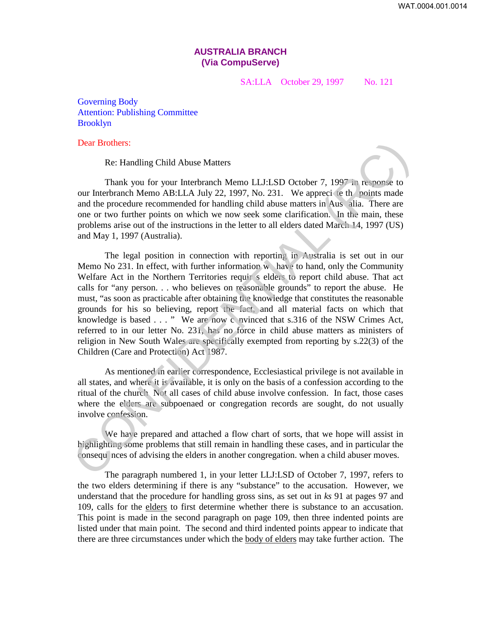## **AUSTRALIA BRANCH (Via CompuServe)**

SA:LLA October 29, 1997 No. 121

Governing Body Attention: Publishing Committee Brooklyn

Dear Brothers:

Re: Handling Child Abuse Matters

Thank you for your Interbranch Memo LLJ:LSD October 7, 1997 in response to our Interbranch Memo AB:LLA July 22, 1997, No. 231. We appreci te th points made and the procedure recommended for handling child abuse matters in Aus alia. There are one or two further points on which we now seek some clarification. In the main, these problems arise out of the instructions in the letter to all elders dated March 14, 1997 (US) and May 1, 1997 (Australia).

The legal position in connection with reporting in Australia is set out in our Memo No 231. In effect, with further information w have to hand, only the Community Welfare Act in the Northern Territories requir s elders to report child abuse. That act calls for "any person. . . who believes on reasonable grounds" to report the abuse. He must, "as soon as practicable after obtaining the knowledge that constitutes the reasonable grounds for his so believing, report the fact, and all material facts on which that knowledge is based . . . " We are now c nvinced that s.316 of the NSW Crimes Act, referred to in our letter No. 231, has no force in child abuse matters as ministers of religion in New South Wales are specifically exempted from reporting by s.22(3) of the Children (Care and Protection) Act 1987. Dear Brothers:<br>
Re: Handling Child Abuse Matters<br>
Thank you for your Interbrunch Memo LLJ:LSD October 7, 1997 in response to<br>
our Interbranch Memo AB:LA July 22, 1997, No. 231. We apprecise the rooting made<br>
and the proce

As mentioned in earlier correspondence, Ecclesiastical privilege is not available in all states, and where it is available, it is only on the basis of a confession according to the ritual of the church Not all cases of child abuse involve confession. In fact, those cases where the elders are subpoenaed or congregation records are sought, do not usually involve confession.

We have prepared and attached a flow chart of sorts, that we hope will assist in highlighting some problems that still remain in handling these cases, and in particular the consequ nces of advising the elders in another congregation. when a child abuser moves.

The paragraph numbered 1, in your letter LLJ:LSD of October 7, 1997, refers to the two elders determining if there is any "substance" to the accusation. However, we understand that the procedure for handling gross sins, as set out in *ks* 91 at pages 97 and 109, calls for the elders to first determine whether there is substance to an accusation. This point is made in the second paragraph on page 109, then three indented points are listed under that main point. The second and third indented points appear to indicate that there are three circumstances under which the body of elders may take further action. The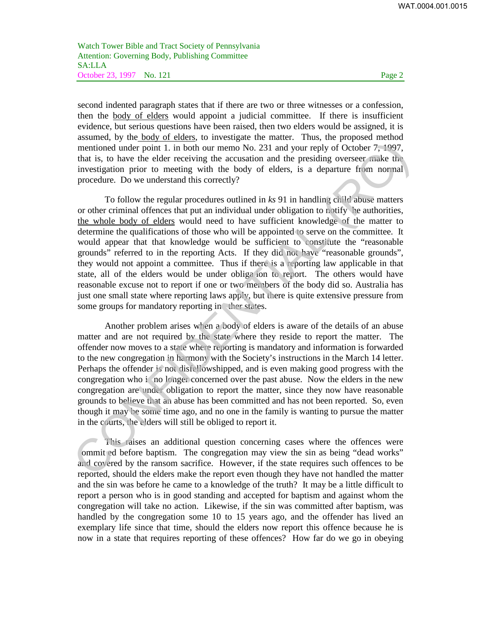Watch Tower Bible and Tract Society of Pennsylvania Attention: Governing Body, Publishing Committee SA:LLA October 23, 1997 No. 121 Page 2

second indented paragraph states that if there are two or three witnesses or a confession, then the body of elders would appoint a judicial committee. If there is insufficient evidence, but serious questions have been raised, then two elders would be assigned, it is assumed, by the body of elders, to investigate the matter. Thus, the proposed method mentioned under point 1. in both our memo No. 231 and your reply of October 7, 1997, that is, to have the elder receiving the accusation and the presiding overseer make the investigation prior to meeting with the body of elders, is a departure from normal procedure. Do we understand this correctly?

To follow the regular procedures outlined in *ks* 91 in handling child abuse matters or other criminal offences that put an individual under obligation to notify he authorities, the whole body of elders would need to have sufficient knowledge of the matter to determine the qualifications of those who will be appointed to serve on the committee. It would appear that that knowledge would be sufficient to constitute the "reasonable grounds" referred to in the reporting Acts. If they did not have "reasonable grounds", they would not appoint a committee. Thus if there is a reporting law applicable in that state, all of the elders would be under obliga ion to report. The others would have reasonable excuse not to report if one or two members of the body did so. Australia has just one small state where reporting laws apply, but there is quite extensive pressure from some groups for mandatory reporting in ther states. mentioned under point 1. in both our memo No. 231 and your reply of October 7; 1997,<br>that is, to have the eleiar receiving the cacusation and the presiding overseer make the<br>investigation prior to meeting with the body of

Another problem arises when a body of elders is aware of the details of an abuse matter and are not required by the state where they reside to report the matter. The offender now moves to a state where reporting is mandatory and information is forwarded to the new congregation in harmony with the Society's instructions in the March 14 letter. Perhaps the offender is not disfellowshipped, and is even making good progress with the congregation who i no longer concerned over the past abuse. Now the elders in the new congregation are under obligation to report the matter, since they now have reasonable grounds to believe that an abuse has been committed and has not been reported. So, even though it may be some time ago, and no one in the family is wanting to pursue the matter in the courts, the elders will still be obliged to report it.

This raises an additional question concerning cases where the offences were ommit ed before baptism. The congregation may view the sin as being "dead works" and covered by the ransom sacrifice. However, if the state requires such offences to be reported, should the elders make the report even though they have not handled the matter and the sin was before he came to a knowledge of the truth? It may be a little difficult to report a person who is in good standing and accepted for baptism and against whom the congregation will take no action. Likewise, if the sin was committed after baptism, was handled by the congregation some 10 to 15 years ago, and the offender has lived an exemplary life since that time, should the elders now report this offence because he is now in a state that requires reporting of these offences? How far do we go in obeying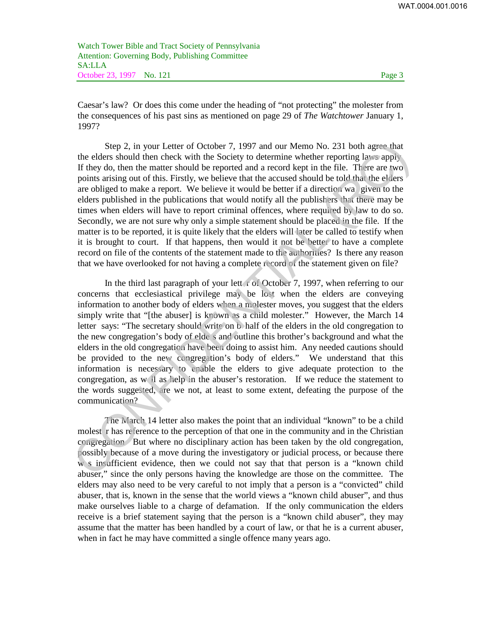Watch Tower Bible and Tract Society of Pennsylvania Attention: Governing Body, Publishing Committee SA:LLA October 23, 1997 No. 121 Page 3

Caesar's law? Or does this come under the heading of "not protecting" the molester from the consequences of his past sins as mentioned on page 29 of *The Watchtower* January 1, 1997?

Step 2, in your Letter of October 7, 1997 and our Memo No. 231 both agree that the elders should then check with the Society to determine whether reporting laws apply If they do, then the matter should be reported and a record kept in the file. There are two points arising out of this. Firstly, we believe that the accused should be told that the elders are obliged to make a report. We believe it would be better if a direction wa given to the elders published in the publications that would notify all the publishers that there may be times when elders will have to report criminal offences, where required by law to do so. Secondly, we are not sure why only a simple statement should be placed in the file. If the matter is to be reported, it is quite likely that the elders will later be called to testify when it is brought to court. If that happens, then would it not be better to have a complete record on file of the contents of the statement made to the authorities? Is there any reason that we have overlooked for not having a complete record of the statement given on file? Step 2, in your Letter of October 7, 1997 and our Memo No. 231 both agree that<br>the elders should then check with the Society to determine whether reporting laws apply<br>If they do, then the matter should be reported and a r

In the third last paragraph of your lett r of October 7, 1997, when referring to our concerns that ecclesiastical privilege may be lost when the elders are conveying information to another body of elders when a molester moves, you suggest that the elders simply write that "[the abuser] is known as a child molester." However, the March 14 letter says: "The secretary should write on b half of the elders in the old congregation to the new congregation's body of elde s and outline this brother's background and what the elders in the old congregation have been doing to assist him. Any needed cautions should be provided to the new congregation's body of elders." We understand that this information is necessary to enable the elders to give adequate protection to the congregation, as w ll as help in the abuser's restoration. If we reduce the statement to the words suggested, are we not, at least to some extent, defeating the purpose of the communication?

The March 14 letter also makes the point that an individual "known" to be a child molest r has reference to the perception of that one in the community and in the Christian congregation But where no disciplinary action has been taken by the old congregation, possibly because of a move during the investigatory or judicial process, or because there w s insufficient evidence, then we could not say that that person is a "known child abuser," since the only persons having the knowledge are those on the committee. The elders may also need to be very careful to not imply that a person is a "convicted" child abuser, that is, known in the sense that the world views a "known child abuser", and thus make ourselves liable to a charge of defamation. If the only communication the elders receive is a brief statement saying that the person is a "known child abuser", they may assume that the matter has been handled by a court of law, or that he is a current abuser, when in fact he may have committed a single offence many years ago.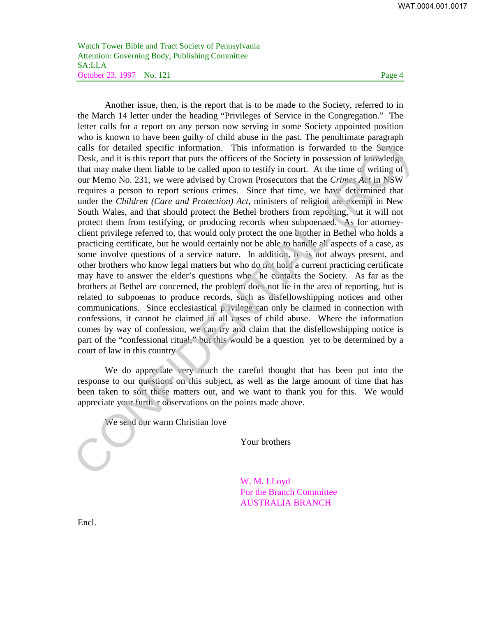Watch Tower Bible and Tract Society of Pennsylvania Attention: Governing Body, Publishing Committee SA:LLA October 23, 1997 No. 121 Page 4

Another issue, then, is the report that is to be made to the Society, referred to in the March 14 letter under the heading "Privileges of Service in the Congregation." The letter calls for a report on any person now serving in some Society appointed position who is known to have been guilty of child abuse in the past. The penultimate paragraph calls for detailed specific information. This information is forwarded to the Service Desk, and it is this report that puts the officers of the Society in possession of knowledge that may make them liable to be called upon to testify in court. At the time of writing of our Memo No. 231, we were advised by Crown Prosecutors that the *Crimes Act* in NSW requires a person to report serious crimes. Since that time, we have determined that under the *Children (Care and Protection) Act*, ministers of religion are exempt in New South Wales, and that should protect the Bethel brothers from reporting, ut it will not protect them from testifying, or producing records when subpoenaed. As for attorneyclient privilege referred to, that would only protect the one brother in Bethel who holds a practicing certificate, but he would certainly not be able to handle all aspects of a case, as some involve questions of a service nature. In addition, h is not always present, and other brothers who know legal matters but who do not hold a current practicing certificate may have to answer the elder's questions whe he contacts the Society. As far as the brothers at Bethel are concerned, the problem does not lie in the area of reporting, but is related to subpoenas to produce records, such as disfellowshipping notices and other communications. Since ecclesiastical p ivilege can only be claimed in connection with confessions, it cannot be claimed in all cases of child abuse. Where the information comes by way of confession, we can try and claim that the disfellowshipping notice is part of the "confessional ritual," but this would be a question yet to be determined by a court of law in this country calls for detailed specific information. This information is forwarded to the Service Desk, and it is this report that puts the offices of the Society in possession of *b* accelest and this this report that puts the minim

We do appreciate very much the careful thought that has been put into the response to our questions on this subject, as well as the large amount of time that has been taken to sort these matters out, and we want to thank you for this. We would appreciate your furth r observations on the points made above.

We send our warm Christian love

Your brothers

W. M. LLoyd For the Branch Committee AUSTRALIA BRANCH

Encl.